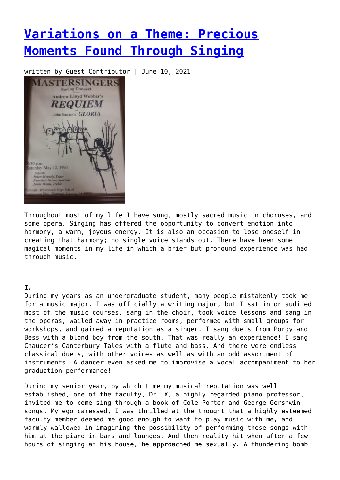# **[Variations on a Theme: Precious](https://entropymag.org/variations-on-a-theme-precious-moments-found-through-singing/) [Moments Found Through Singing](https://entropymag.org/variations-on-a-theme-precious-moments-found-through-singing/)**

written by Guest Contributor | June 10, 2021



Throughout most of my life I have sung, mostly sacred music in choruses, and some opera. Singing has offered the opportunity to convert emotion into harmony, a warm, joyous energy. It is also an occasion to lose oneself in creating that harmony; no single voice stands out. There have been some magical moments in my life in which a brief but profound experience was had through music.

## **I.**

During my years as an undergraduate student, many people mistakenly took me for a music major. I was officially a writing major, but I sat in or audited most of the music courses, sang in the choir, took voice lessons and sang in the operas, wailed away in practice rooms, performed with small groups for workshops, and gained a reputation as a singer. I sang duets from Porgy and Bess with a blond boy from the south. That was really an experience! I sang Chaucer's Canterbury Tales with a flute and bass. And there were endless classical duets, with other voices as well as with an odd assortment of instruments. A dancer even asked me to improvise a vocal accompaniment to her graduation performance!

During my senior year, by which time my musical reputation was well established, one of the faculty, Dr. X, a highly regarded piano professor, invited me to come sing through a book of Cole Porter and George Gershwin songs. My ego caressed, I was thrilled at the thought that a highly esteemed faculty member deemed me good enough to want to play music with me, and warmly wallowed in imagining the possibility of performing these songs with him at the piano in bars and lounges. And then reality hit when after a few hours of singing at his house, he approached me sexually. A thundering bomb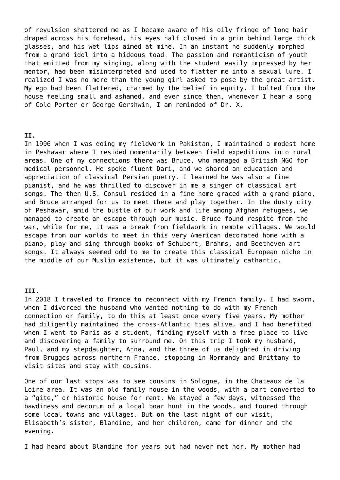of revulsion shattered me as I became aware of his oily fringe of long hair draped across his forehead, his eyes half closed in a grin behind large thick glasses, and his wet lips aimed at mine. In an instant he suddenly morphed from a grand idol into a hideous toad. The passion and romanticism of youth that emitted from my singing, along with the student easily impressed by her mentor, had been misinterpreted and used to flatter me into a sexual lure. I realized I was no more than the young girl asked to pose by the great artist. My ego had been flattered, charmed by the belief in equity. I bolted from the house feeling small and ashamed, and ever since then, whenever I hear a song of Cole Porter or George Gershwin, I am reminded of Dr. X.

### **II.**

In 1996 when I was doing my fieldwork in Pakistan, I maintained a modest home in Peshawar where I resided momentarily between field expeditions into rural areas. One of my connections there was Bruce, who managed a British NGO for medical personnel. He spoke fluent Dari, and we shared an education and appreciation of classical Persian poetry. I learned he was also a fine pianist, and he was thrilled to discover in me a singer of classical art songs. The then U.S. Consul resided in a fine home graced with a grand piano, and Bruce arranged for us to meet there and play together. In the dusty city of Peshawar, amid the bustle of our work and life among Afghan refugees, we managed to create an escape through our music. Bruce found respite from the war, while for me, it was a break from fieldwork in remote villages. We would escape from our worlds to meet in this very American decorated home with a piano, play and sing through books of Schubert, Brahms, and Beethoven art songs. It always seemed odd to me to create this classical European niche in the middle of our Muslim existence, but it was ultimately cathartic.

#### **III.**

In 2018 I traveled to France to reconnect with my French family. I had sworn, when I divorced the husband who wanted nothing to do with my French connection or family, to do this at least once every five years. My mother had diligently maintained the cross-Atlantic ties alive, and I had benefited when I went to Paris as a student, finding myself with a free place to live and discovering a family to surround me. On this trip I took my husband, Paul, and my stepdaughter, Anna, and the three of us delighted in driving from Brugges across northern France, stopping in Normandy and Brittany to visit sites and stay with cousins.

One of our last stops was to see cousins in Sologne, in the Chateaux de la Loire area. It was an old family house in the woods, with a part converted to a "gite," or historic house for rent. We stayed a few days, witnessed the bawdiness and decorum of a local boar hunt in the woods, and toured through some local towns and villages. But on the last night of our visit, Elisabeth's sister, Blandine, and her children, came for dinner and the evening.

I had heard about Blandine for years but had never met her. My mother had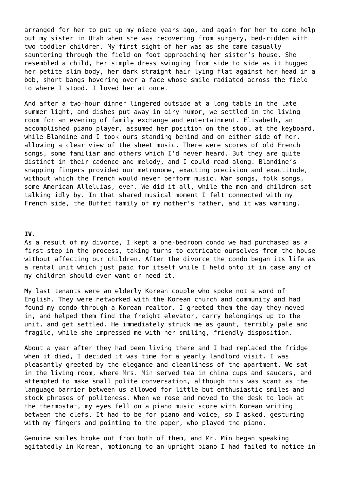arranged for her to put up my niece years ago, and again for her to come help out my sister in Utah when she was recovering from surgery, bed-ridden with two toddler children. My first sight of her was as she came casually sauntering through the field on foot approaching her sister's house. She resembled a child, her simple dress swinging from side to side as it hugged her petite slim body, her dark straight hair lying flat against her head in a bob, short bangs hovering over a face whose smile radiated across the field to where I stood. I loved her at once.

And after a two-hour dinner lingered outside at a long table in the late summer light, and dishes put away in airy humor, we settled in the living room for an evening of family exchange and entertainment. Elisabeth, an accomplished piano player, assumed her position on the stool at the keyboard, while Blandine and I took ours standing behind and on either side of her, allowing a clear view of the sheet music. There were scores of old French songs, some familiar and others which I'd never heard. But they are quite distinct in their cadence and melody, and I could read along. Blandine's snapping fingers provided our metronome, exacting precision and exactitude, without which the French would never perform music. War songs, folk songs, some American Alleluias, even. We did it all, while the men and children sat talking idly by. In that shared musical moment I felt connected with my French side, the Buffet family of my mother's father, and it was warming.

### **IV**.

As a result of my divorce, I kept a one-bedroom condo we had purchased as a first step in the process, taking turns to extricate ourselves from the house without affecting our children. After the divorce the condo began its life as a rental unit which just paid for itself while I held onto it in case any of my children should ever want or need it.

My last tenants were an elderly Korean couple who spoke not a word of English. They were networked with the Korean church and community and had found my condo through a Korean realtor. I greeted them the day they moved in, and helped them find the freight elevator, carry belongings up to the unit, and get settled. He immediately struck me as gaunt, terribly pale and fragile, while she impressed me with her smiling, friendly disposition.

About a year after they had been living there and I had replaced the fridge when it died, I decided it was time for a yearly landlord visit. I was pleasantly greeted by the elegance and cleanliness of the apartment. We sat in the living room, where Mrs. Min served tea in china cups and saucers, and attempted to make small polite conversation, although this was scant as the language barrier between us allowed for little but enthusiastic smiles and stock phrases of politeness. When we rose and moved to the desk to look at the thermostat, my eyes fell on a piano music score with Korean writing between the clefs. It had to be for piano and voice, so I asked, gesturing with my fingers and pointing to the paper, who played the piano.

Genuine smiles broke out from both of them, and Mr. Min began speaking agitatedly in Korean, motioning to an upright piano I had failed to notice in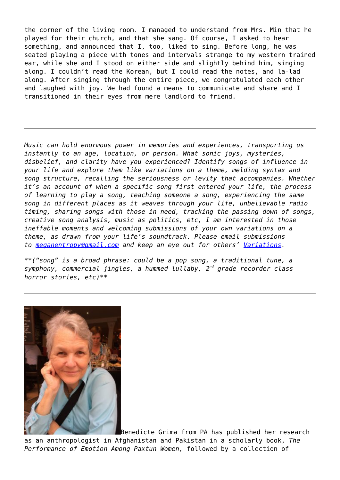the corner of the living room. I managed to understand from Mrs. Min that he played for their church, and that she sang. Of course, I asked to hear something, and announced that I, too, liked to sing. Before long, he was seated playing a piece with tones and intervals strange to my western trained ear, while she and I stood on either side and slightly behind him, singing along. I couldn't read the Korean, but I could read the notes, and la-lad along. After singing through the entire piece, we congratulated each other and laughed with joy. We had found a means to communicate and share and I transitioned in their eyes from mere landlord to friend.

*Music can hold enormous power in memories and experiences, transporting us instantly to an age, location, or person. What sonic joys, mysteries, disbelief, and clarity have you experienced? Identify songs of influence in your life and explore them like variations on a theme, melding syntax and song structure, recalling the seriousness or levity that accompanies. Whether it's an account of when a specific song first entered your life, the process of learning to play a song, teaching someone a song, experiencing the same song in different places as it weaves through your life, unbelievable radio timing, sharing songs with those in need, tracking the passing down of songs, creative song analysis, music as politics, etc, I am interested in those ineffable moments and welcoming submissions of your own variations on a theme, as drawn from your life's soundtrack. Please email submissions to [meganentropy@gmail.com](mailto:meganentropy@gmail.com) and keep an eye out for others' [Variations.](https://entropymag.org/tag/variations-on-a-theme/)*

*\*\*("song" is a broad phrase: could be a pop song, a traditional tune, a symphony, commercial jingles, a hummed lullaby, 2nd grade recorder class horror stories, etc)\*\**



Benedicte Grima from PA has published her research as an anthropologist in Afghanistan and Pakistan in a scholarly book, *The Performance of Emotion Among Paxtun Women,* followed by a collection of